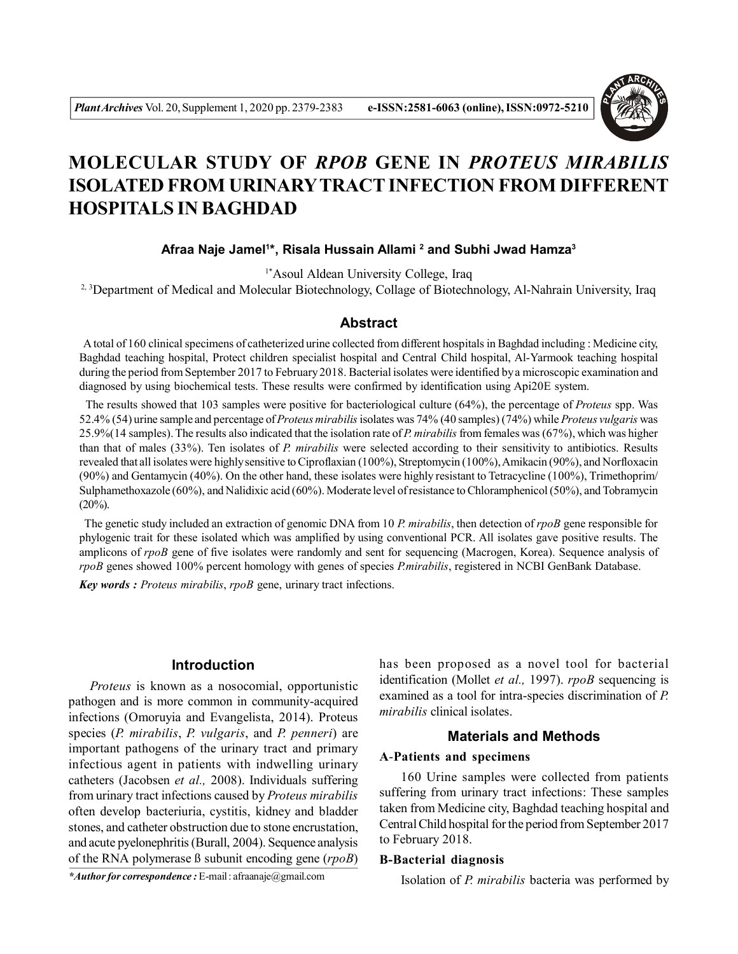

# **MOLECULAR STUDY OF** *RPOB* **GENE IN** *PROTEUS MIRABILIS* **ISOLATED FROM URINARYTRACT INFECTION FROM DIFFERENT HOSPITALS IN BAGHDAD**

## **Afraa Naje Jamel<sup>1</sup> \*, Risala Hussain Allami <sup>2</sup> and Subhi Jwad Hamza<sup>3</sup>**

1\*Asoul Aldean University College, Iraq

<sup>2, 3</sup>Department of Medical and Molecular Biotechnology, Collage of Biotechnology, Al-Nahrain University, Iraq

#### **Abstract**

 A total of 160 clinical specimens of catheterized urine collected from different hospitals in Baghdad including : Medicine city, Baghdad teaching hospital, Protect children specialist hospital and Central Child hospital, Al-Yarmook teaching hospital during the period from September 2017 to February 2018. Bacterial isolates were identified by a microscopic examination and diagnosed by using biochemical tests. These results were confirmed by identification using Api20E system.

 The results showed that 103 samples were positive for bacteriological culture (64%), the percentage of *Proteus* spp. Was 52.4% (54) urine sample and percentage of *Proteus mirabilis* isolates was 74% (40 samples) (74%) while *Proteus vulgaris* was 25.9%(14 samples). The results also indicated that the isolation rate of *P. mirabilis* from females was (67%), which was higher than that of males (33%). Ten isolates of *P. mirabilis* were selected according to their sensitivity to antibiotics. Results revealed that all isolates were highly sensitive to Ciproflaxian (100%), Streptomycin (100%), Amikacin (90%), and Norfloxacin (90%) and Gentamycin (40%). On the other hand, these isolates were highly resistant to Tetracycline (100%), Trimethoprim/ Sulphamethoxazole (60%), and Nalidixic acid (60%). Moderate level of resistance to Chloramphenicol (50%), and Tobramycin  $(20\%)$ .

 The genetic study included an extraction of genomic DNA from 10 *P. mirabilis*, then detection of *rpoB* gene responsible for phylogenic trait for these isolated which was amplified by using conventional PCR. All isolates gave positive results. The amplicons of *rpoB* gene of five isolates were randomly and sent for sequencing (Macrogen, Korea). Sequence analysis of *rpoB* genes showed 100% percent homology with genes of species *P.mirabilis*, registered in NCBI GenBank Database.

*Key words : Proteus mirabilis*, *rpoB* gene, urinary tract infections.

#### **Introduction**

*Proteus* is known as a nosocomial, opportunistic pathogen and is more common in community-acquired infections (Omoruyia and Evangelista, 2014). Proteus species (*P. mirabilis*, *P. vulgaris*, and *P. penneri*) are important pathogens of the urinary tract and primary infectious agent in patients with indwelling urinary catheters (Jacobsen *et al.,* 2008). Individuals suffering from urinary tract infections caused by *Proteus mirabilis* often develop bacteriuria, cystitis, kidney and bladder stones, and catheter obstruction due to stone encrustation, and acute pyelonephritis (Burall, 2004). Sequence analysis of the RNA polymerase ß subunit encoding gene (*rpoB*)

*\*Author for correspondence :* E-mail : afraanaje@gmail.com

has been proposed as a novel tool for bacterial identification (Mollet *et al.,* 1997). *rpoB* sequencing is examined as a tool for intra-species discrimination of *P. mirabilis* clinical isolates.

## **Materials and Methods**

#### **A**-**Patients and specimens**

160 Urine samples were collected from patients suffering from urinary tract infections: These samples taken from Medicine city, Baghdad teaching hospital and Central Child hospital for the period from September 2017 to February 2018.

#### **B-Bacterial diagnosis**

Isolation of *P. mirabilis* bacteria was performed by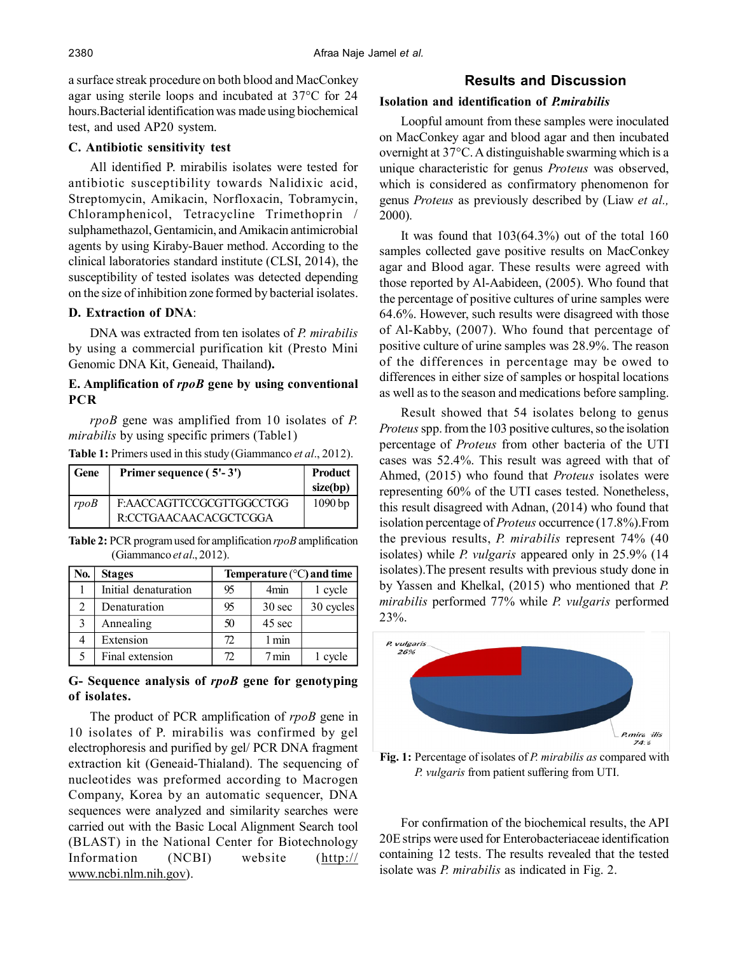a surface streak procedure on both blood and MacConkey agar using sterile loops and incubated at 37°C for 24 hours.Bacterial identification was made using biochemical test, and used AP20 system.

## **C. Antibiotic sensitivity test**

All identified P. mirabilis isolates were tested for antibiotic susceptibility towards Nalidixic acid, Streptomycin, Amikacin, Norfloxacin, Tobramycin, Chloramphenicol, Tetracycline Trimethoprin / sulphamethazol, Gentamicin, and Amikacin antimicrobial agents by using Kiraby-Bauer method. According to the clinical laboratories standard institute (CLSI, 2014), the susceptibility of tested isolates was detected depending on the size of inhibition zone formed by bacterial isolates.

## **D. Extraction of DNA**:

DNA was extracted from ten isolates of *P. mirabilis* by using a commercial purification kit (Presto Mini Genomic DNA Kit, Geneaid, Thailand**).**

## **E. Amplification of** *rpoB* **gene by using conventional PCR**

*rpoB* gene was amplified from 10 isolates of *P. mirabilis* by using specific primers (Table1)

|  |  | Table 1: Primers used in this study (Giammanco et al., 2012). |  |
|--|--|---------------------------------------------------------------|--|
|--|--|---------------------------------------------------------------|--|

| Gene | Primer sequence (5'-3')                           | Product<br>size(bp) |
|------|---------------------------------------------------|---------------------|
| rpoB | F:AACCAGTTCCGCGTTGGCCTGG<br>R:CCTGAACAACACGCTCGGA | 1090bp              |

**Table 2:** PCR program used for amplification *rpoB* amplification (Giammanco *et al*., 2012).

| No.           | <b>Stages</b>        | Temperature $(^{\circ}C)$ and time |                  |           |
|---------------|----------------------|------------------------------------|------------------|-----------|
|               | Initial denaturation | 95                                 | 4 <sub>min</sub> | 1 cycle   |
| 2             | Denaturation         | 95                                 | $30 \text{ sec}$ | 30 cycles |
| $\mathcal{E}$ | Annealing            | 50                                 | 45 sec           |           |
| 4             | Extension            | 72                                 | 1 min            |           |
|               | Final extension      | 72                                 | 7 min            | 1 cycle   |

## **G- Sequence analysis of** *rpoB* **gene for genotyping of isolates.**

The product of PCR amplification of *rpoB* gene in 10 isolates of P. mirabilis was confirmed by gel electrophoresis and purified by gel/ PCR DNA fragment extraction kit (Geneaid-Thialand). The sequencing of nucleotides was preformed according to Macrogen Company, Korea by an automatic sequencer, DNA sequences were analyzed and similarity searches were carried out with the Basic Local Alignment Search tool (BLAST) in the National Center for Biotechnology Information (NCBI) website (http:// www.ncbi.nlm.nih.gov).

## **Results and Discussion**

#### **Isolation and identification of** *P.mirabilis*

Loopful amount from these samples were inoculated on MacConkey agar and blood agar and then incubated overnight at 37°C. A distinguishable swarming which is a unique characteristic for genus *Proteus* was observed, which is considered as confirmatory phenomenon for genus *Proteus* as previously described by (Liaw *et al.,* 2000).

It was found that  $103(64.3%)$  out of the total 160 samples collected gave positive results on MacConkey agar and Blood agar. These results were agreed with those reported by Al-Aabideen, (2005). Who found that the percentage of positive cultures of urine samples were 64.6%. However, such results were disagreed with those of Al-Kabby, (2007). Who found that percentage of positive culture of urine samples was 28.9%. The reason of the differences in percentage may be owed to differences in either size of samples or hospital locations as well as to the season and medications before sampling.

Result showed that 54 isolates belong to genus *Proteus* spp. from the 103 positive cultures, so the isolation percentage of *Proteus* from other bacteria of the UTI cases was 52.4%. This result was agreed with that of Ahmed, (2015) who found that *Proteus* isolates were representing 60% of the UTI cases tested. Nonetheless, this result disagreed with Adnan, (2014) who found that isolation percentage of *Proteus* occurrence (17.8%).From the previous results, *P. mirabilis* represent 74% (40 isolates) while *P. vulgaris* appeared only in 25.9% (14 isolates).The present results with previous study done in by Yassen and Khelkal, (2015) who mentioned that *P. mirabilis* performed 77% while *P. vulgaris* performed 23%.



**Fig. 1:** Percentage of isolates of *P. mirabilis as* compared with *P. vulgaris* from patient suffering from UTI.

For confirmation of the biochemical results, the API 20E strips were used for Enterobacteriaceae identification containing 12 tests. The results revealed that the tested isolate was *P. mirabilis* as indicated in Fig. 2.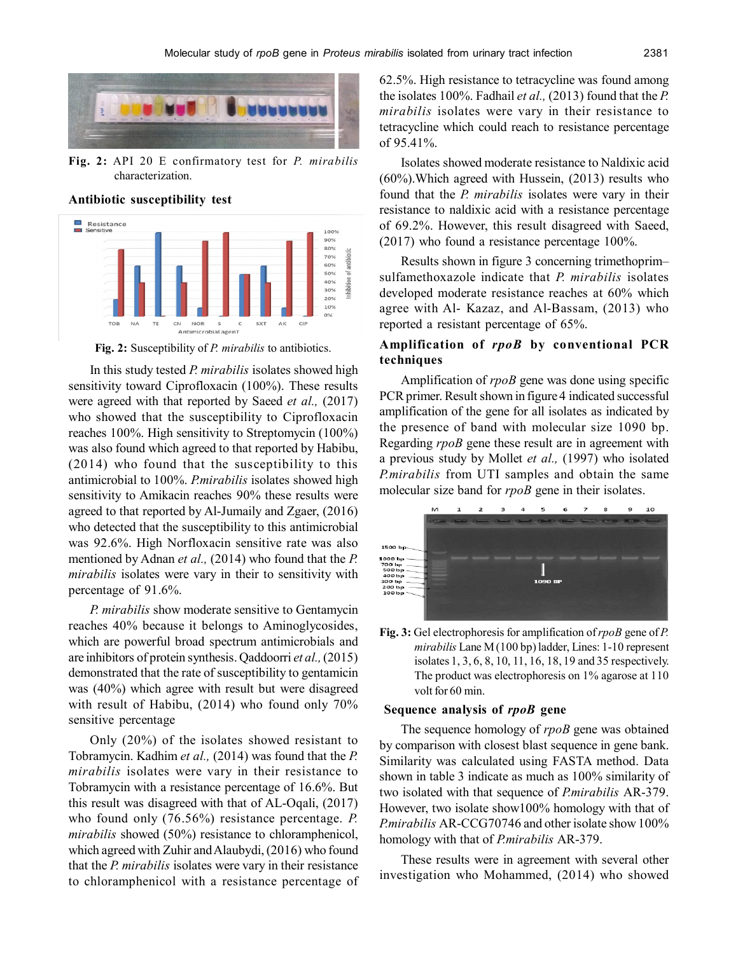

**Fig. 2:** API 20 E confirmatory test for *P. mirabilis* characterization.

#### **Antibiotic susceptibility test**



**Fig. 2:** Susceptibility of *P. mirabilis* to antibiotics.

In this study tested *P. mirabilis* isolates showed high sensitivity toward Ciprofloxacin (100%). These results were agreed with that reported by Saeed *et al.,* (2017) who showed that the susceptibility to Ciprofloxacin reaches 100%. High sensitivity to Streptomycin (100%) was also found which agreed to that reported by Habibu, (2014) who found that the susceptibility to this antimicrobial to 100%. *P.mirabilis* isolates showed high sensitivity to Amikacin reaches 90% these results were agreed to that reported by Al-Jumaily and Zgaer, (2016) who detected that the susceptibility to this antimicrobial was 92.6%. High Norfloxacin sensitive rate was also mentioned by Adnan *et al.,* (2014) who found that the *P. mirabilis* isolates were vary in their to sensitivity with percentage of 91.6%.

*P. mirabilis* show moderate sensitive to Gentamycin reaches 40% because it belongs to Aminoglycosides, which are powerful broad spectrum antimicrobials and are inhibitors of protein synthesis. Qaddoorri *et al.,* (2015) demonstrated that the rate of susceptibility to gentamicin was (40%) which agree with result but were disagreed with result of Habibu, (2014) who found only 70% sensitive percentage

Only (20%) of the isolates showed resistant to Tobramycin. Kadhim *et al.,* (2014) was found that the *P. mirabilis* isolates were vary in their resistance to Tobramycin with a resistance percentage of 16.6%. But this result was disagreed with that of AL-Oqali, (2017) who found only (76.56%) resistance percentage. *P. mirabilis* showed (50%) resistance to chloramphenicol, which agreed with Zuhir and Alaubydi, (2016) who found that the *P. mirabilis* isolates were vary in their resistance to chloramphenicol with a resistance percentage of 62.5%. High resistance to tetracycline was found among the isolates 100%. Fadhail *et al.,* (2013) found that the *P. mirabilis* isolates were vary in their resistance to tetracycline which could reach to resistance percentage of 95.41%.

Isolates showed moderate resistance to Naldixic acid (60%).Which agreed with Hussein, (2013) results who found that the *P. mirabilis* isolates were vary in their resistance to naldixic acid with a resistance percentage of 69.2%. However, this result disagreed with Saeed, (2017) who found a resistance percentage 100%.

Results shown in figure 3 concerning trimethoprim– sulfamethoxazole indicate that *P. mirabilis* isolates developed moderate resistance reaches at 60% which agree with Al- Kazaz, and Al-Bassam, (2013) who reported a resistant percentage of 65%.

## **Amplification of** *rpoB* **by conventional PCR techniques**

Amplification of *rpoB* gene was done using specific PCR primer. Result shown in figure 4 indicated successful amplification of the gene for all isolates as indicated by the presence of band with molecular size 1090 bp. Regarding *rpoB* gene these result are in agreement with a previous study by Mollet *et al.,* (1997) who isolated *P.mirabilis* from UTI samples and obtain the same molecular size band for *rpoB* gene in their isolates.



**Fig. 3:** Gel electrophoresis for amplification of *rpoB* gene of *P. mirabilis* Lane M (100 bp) ladder, Lines: 1-10 represent isolates 1, 3, 6, 8, 10, 11, 16, 18, 19 and 35 respectively. The product was electrophoresis on 1% agarose at 110 volt for 60 min.

#### **Sequence analysis of** *rpoB* **gene**

The sequence homology of *rpoB* gene was obtained by comparison with closest blast sequence in gene bank. Similarity was calculated using FASTA method. Data shown in table 3 indicate as much as 100% similarity of two isolated with that sequence of *P.mirabilis* AR-379. However, two isolate show100% homology with that of *P.mirabilis* AR-CCG70746 and other isolate show 100% homology with that of *P.mirabilis* AR-379.

These results were in agreement with several other investigation who Mohammed, (2014) who showed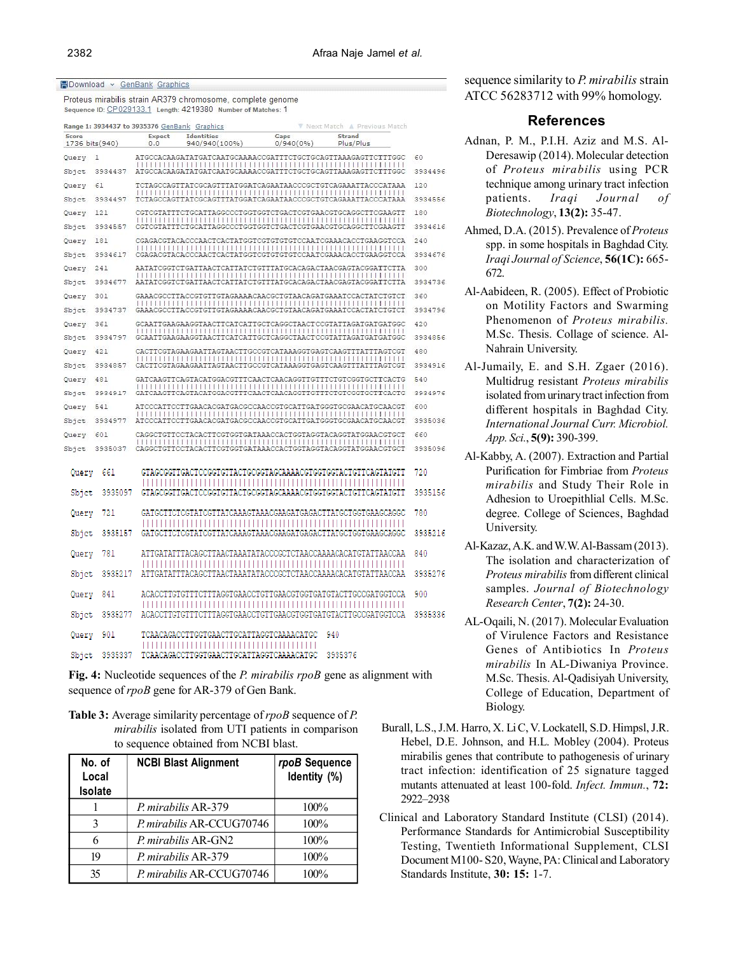#### **EDownload > GenBank Graphics**

Proteus mirabilis strain AR379 chromosome, complete genome Sequence ID: CP029133.1 Length: 4219380 Number of Matches: 1

| Range 1: 3934437 to 3935376 GenBank Graphics<br>V Next Match A Previous Match |                |               |                                    |                                          |                                                              |         |
|-------------------------------------------------------------------------------|----------------|---------------|------------------------------------|------------------------------------------|--------------------------------------------------------------|---------|
| Score                                                                         | 1736 bits(940) | Expect<br>0.0 | <b>Identities</b><br>940/940(100%) | Gaps<br>0/940(0%                         | Strand<br>Plus/Plus                                          |         |
| Query                                                                         | ı              |               |                                    |                                          | ATGCCACAAGATATGATCAATGCAAAACCGATTTCTGCTGCAGTTAAAGAGTTCTTTGGC | 60      |
| Sbjet                                                                         | 3934437        |               |                                    |                                          | ATGCCACAAGATATGATCAATGCAAAACCGATTTCTGCTGCAGTTAAAGAGTTCTTTGGC | 3934496 |
| Query                                                                         | 61             |               |                                    |                                          | TCTAGCCAGTTATCGCAGTTTATGGATCAGAATAACCCGCTGTCAGAAATTACCCATAAA | 120     |
| Sbjet                                                                         | 3934497        |               |                                    |                                          | TCTAGCCAGTTATCGCAGTTTATGGATCAGAATAACCCGCTGTCAGAAATTACCCATAAA | 3934556 |
| Query                                                                         | 121            |               |                                    |                                          | CGTCGTATTTCTGCATTAGGCCCTGGTGGTCTGACTCGTGAACGTGCAGGCTTCGAAGTT | 180     |
| Sbjet                                                                         | 3934557        |               |                                    |                                          | CGTCGTATTTCTGCATTAGGCCCTGGTGGTCTGACTCGTGAACGTGCAGGCTTCGAAGTT | 3934616 |
| Query                                                                         | 181            |               |                                    |                                          | CGAGACGTACACCCAACTCACTATGGTCGTGTGTGTCCAATCGAAACACCTGAAGGTCCA | 240     |
| Sbjet                                                                         | 3934617        |               |                                    |                                          | CGAGACGTACACCCAACTCACTATGGTCGTGTGTGTCCAATCGAAACACCTGAAGGTCCA | 3934676 |
| Query                                                                         | 241            |               |                                    |                                          | AATATCGGTCTGATTAACTCATTATCTGTTTATGCACAGACTAACGAGTACGGATTCTTA | 300     |
| Sbjet                                                                         | 3934677        |               |                                    |                                          | AATATCGGTCTGATTAACTCATTATCTGTTTATGCACAGACTAACGAGTACGGATTCTTA | 3934736 |
| Query                                                                         | 301            |               |                                    |                                          | GAAACGCCTTACCGTGTTGTAGAAAACAACGCTGTAACAGATGAAATCCACTATCTGTCT | 360     |
| Sbjet                                                                         | 3934737        |               |                                    |                                          | GAAACGCCTTACCGTGTTGTAGAAAACAACGCTGTAACAGATGAAATCCACTATCTGTCT | 3934796 |
| Query                                                                         | 361            |               |                                    |                                          | GCAATTGAAGAAGGTAACTTCATCATTGCTCAGGCTAACTCCGTATTAGATGATGATGCC | 420     |
| Sbjet                                                                         | 3934797        |               |                                    |                                          | GCAATTGAAGAAGGTAACTTCATCATTGCTCAGGCTAACTCCGTATTAGATGATGATGCC | 3934856 |
| Query                                                                         | 421            |               |                                    |                                          |                                                              | 480     |
| Sbjet                                                                         | 3934857        |               |                                    |                                          |                                                              | 3934916 |
| Query                                                                         | 481            |               |                                    |                                          | GATCAAGTTCAGTACATGGACGTTTCAACTCAACAGGTTGTTTCTGTCGGTGCTTCACTG | 540     |
| Sbjet                                                                         | 3934917        |               |                                    |                                          | GATCAAGTTCAGTACATGGACGTTTCAACTCAACAGGTTGTTTCTGTCGGTGCTTCACTG | 3934976 |
| Query                                                                         | 541            |               |                                    |                                          | ATCCCATTCCTTGAACACGATGACGCCAACCGTGCATTGATGGGTGCGAACATGCAACGT | 600     |
| Sbjet                                                                         | 3934977        |               |                                    |                                          | ATCCCATTCCTTGAACACGATGACGCCAACCGTGCATTGATGGGTGCGAACATGCAACGT | 3935036 |
| Query                                                                         | 601            |               |                                    |                                          |                                                              | 660     |
| Sbjet                                                                         | 3935037        |               |                                    |                                          |                                                              | 3935096 |
|                                                                               | 661            |               |                                    |                                          | GTAGCGGTTGACTCCGGTGTTACTGCGGTAGCAAAACGTGGTGGTACTGTTCAGTATGTT | 720     |
| Query                                                                         |                |               |                                    |                                          |                                                              |         |
| Sbjet                                                                         | 3935097        |               |                                    |                                          | GTAGCGGTTGACTCCGGTGTTACTGCGGTAGCAAAACGTGGTGGTACTGTTCAGTATGTT | 3935156 |
| Querv                                                                         | 721            |               |                                    |                                          | GATGCTTCTCGTATCGTTATCAAAGTAAACGAAGATGAGACTTATGCTGGTGAAGCAGGC | 780     |
|                                                                               |                |               |                                    |                                          |                                                              |         |
| Sbjet                                                                         | 3935157        |               |                                    |                                          | GATGCTTCTCGTATCGTTATCAAAGTAAACGAAGATGAGACTTATGCTGGTGAAGCAGGC | 3935216 |
| Query                                                                         | 781            |               |                                    |                                          | ATTGATATTTACAGCTTAACTAAATATACCCGCTCTAACCAAAACACATGTATTAACCAA | 840     |
| Sbjet                                                                         | 3935217        |               |                                    |                                          | ATTGATATTTACAGCTTAACTAAATATACCCGCTCTAACCAAAACACATGTATTAACCAA | 3935276 |
| Query                                                                         | 841            |               |                                    |                                          | ACACCTTGTGTTTCTTTAGGTGAACCTGTTGAACGTGGTGATGTACTTGCCGATGGTCCA | 900     |
|                                                                               |                |               |                                    |                                          |                                                              |         |
| Sbjet                                                                         | 3935277        |               |                                    |                                          | ACACCTTGTGTTTCTTTAGGTGAACCTGTTGAACGTGGTGATGTACTTGCCGATGGTCCA | 3935336 |
| Query                                                                         | 901            |               |                                    | TCAACAGACCTTGGTGAACTTGCATTAGGTCAAAACATGC | 940                                                          |         |
| Sbjet                                                                         | 3935337        |               |                                    | TCAACAGACCTTGGTGAACTTGCATTAGGTCAAAACATGC | 3935376                                                      |         |

**Fig. 4:** Nucleotide sequences of the *P. mirabilis rpoB* gene as alignment with sequence of *rpoB* gene for AR-379 of Gen Bank.

**Table 3:** Average similarity percentage of *rpoB* sequence of *P. mirabilis* isolated from UTI patients in comparison to sequence obtained from NCBI blast.

| No. of<br>Local<br>Isolate | <b>NCBI Blast Alignment</b> | rpoB Sequence<br>Identity (%) |
|----------------------------|-----------------------------|-------------------------------|
|                            | P. mirabilis AR-379         | $100\%$                       |
| 3                          | P. mirabilis AR-CCUG70746   | 100%                          |
|                            | <i>P. mirabilis AR-GN2</i>  | 100%                          |
| 19                         | P mirabilis AR-379          | 100%                          |
| 35                         | P. mirabilis AR-CCUG70746   | 100%                          |

sequence similarity to *P. mirabilis* strain ATCC 56283712 with 99% homology.

#### **References**

- Adnan, P. M., P.I.H. Aziz and M.S. Al-Deresawip (2014). Molecular detection of *Proteus mirabilis* using PCR technique among urinary tract infection patients. *Iraqi Journal of Biotechnology*, **13(2):** 35-47.
- Ahmed, D.A. (2015). Prevalence of *Proteus* spp. in some hospitals in Baghdad City. *Iraqi Journal of Science*, **56(1C):** 665- 672.
- Al-Aabideen, R. (2005). Effect of Probiotic on Motility Factors and Swarming Phenomenon of *Proteus mirabilis.* M.Sc. Thesis. Collage of science. Al-Nahrain University.
- Al-Jumaily, E. and S.H. Zgaer (2016). Multidrug resistant *Proteus mirabilis* isolated from urinary tract infection from different hospitals in Baghdad City. *International Journal Curr. Microbiol. App. Sci.*, **5(9):** 390-399.
- Al-Kabby, A. (2007). Extraction and Partial Purification for Fimbriae from *Proteus mirabilis* and Study Their Role in Adhesion to Uroepithlial Cells. M.Sc. degree. College of Sciences, Baghdad University.
- Al-Kazaz, A.K. and W.W. Al-Bassam (2013). The isolation and characterization of *Proteus mirabilis* from different clinical samples. *Journal of Biotechnology Research Center*, **7(2):** 24-30.
- AL-Oqaili, N. (2017). Molecular Evaluation of Virulence Factors and Resistance Genes of Antibiotics In *Proteus mirabilis* In AL-Diwaniya Province. M.Sc. Thesis. Al-Qadisiyah University, College of Education, Department of Biology.
- Burall, L.S., J.M. Harro, X. Li C, V. Lockatell, S.D. Himpsl, J.R. Hebel, D.E. Johnson, and H.L. Mobley (2004). Proteus mirabilis genes that contribute to pathogenesis of urinary tract infection: identification of 25 signature tagged mutants attenuated at least 100-fold. *Infect. Immun.*, **72:** 2922–2938
- Clinical and Laboratory Standard Institute (CLSI) (2014). Performance Standards for Antimicrobial Susceptibility Testing, Twentieth Informational Supplement, CLSI Document M100- S20, Wayne, PA: Clinical and Laboratory Standards Institute, **30: 15:** 1-7.